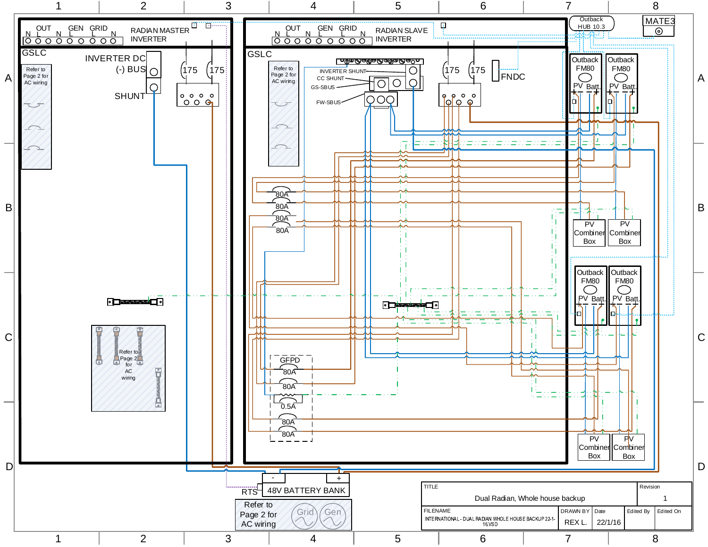